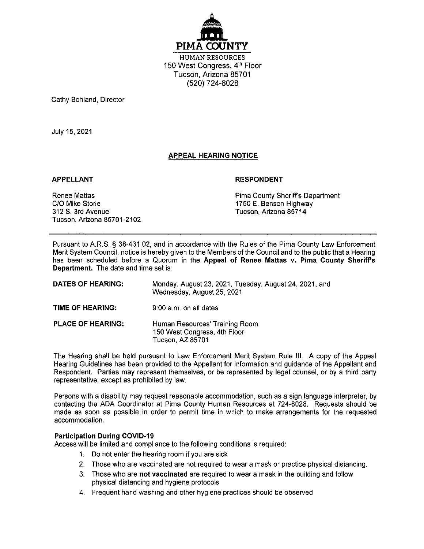

**HUMAN RESOURCES** 150 West Congress, 4<sup>th</sup> Floor Tucson, Arizona 85701 (520) 724-8028

Cathy Bohland, Director

July 15, 2021

# **APPEAL HEARING NOTICE**

#### **APPELLANT**

#### **RESPONDENT**

**Renee Mattas** C/O Mike Storie 312 S. 3rd Avenue Tucson, Arizona 85701-2102 Pima County Sheriff's Department 1750 E. Benson Highway Tucson, Arizona 85714

Pursuant to A.R.S. § 38-431.02, and in accordance with the Rules of the Pima County Law Enforcement Merit System Council, notice is hereby given to the Members of the Council and to the public that a Hearing has been scheduled before a Quorum in the Appeal of Renee Mattas v. Pima County Sheriff's **Department.** The date and time set is:

| <b>DATES OF HEARING:</b> | Monday, August 23, 2021, Tuesday, August 24, 2021, and<br>Wednesday, August 25, 2021 |
|--------------------------|--------------------------------------------------------------------------------------|
| TIME OF HEARING:         | 9:00 a.m. on all dates                                                               |
| <b>PLACE OF HEARING:</b> | Human Resources' Training Room<br>150 West Congress, 4th Floor<br>Tucson, AZ 85701   |

The Hearing shall be held pursuant to Law Enforcement Merit System Rule III. A copy of the Appeal Hearing Guidelines has been provided to the Appellant for information and guidance of the Appellant and Respondent. Parties may represent themselves, or be represented by legal counsel, or by a third party representative, except as prohibited by law.

Persons with a disability may request reasonable accommodation, such as a sign language interpreter, by contacting the ADA Coordinator at Pima County Human Resources at 724-8028. Requests should be made as soon as possible in order to permit time in which to make arrangements for the requested accommodation.

## **Participation During COVID-19**

Access will be limited and compliance to the following conditions is required:

- 1. Do not enter the hearing room if you are sick
- 2. Those who are vaccinated are not required to wear a mask or practice physical distancing.
- 3. Those who are not vaccinated are required to wear a mask in the building and follow physical distancing and hygiene protocols
- 4. Frequent hand washing and other hygiene practices should be observed